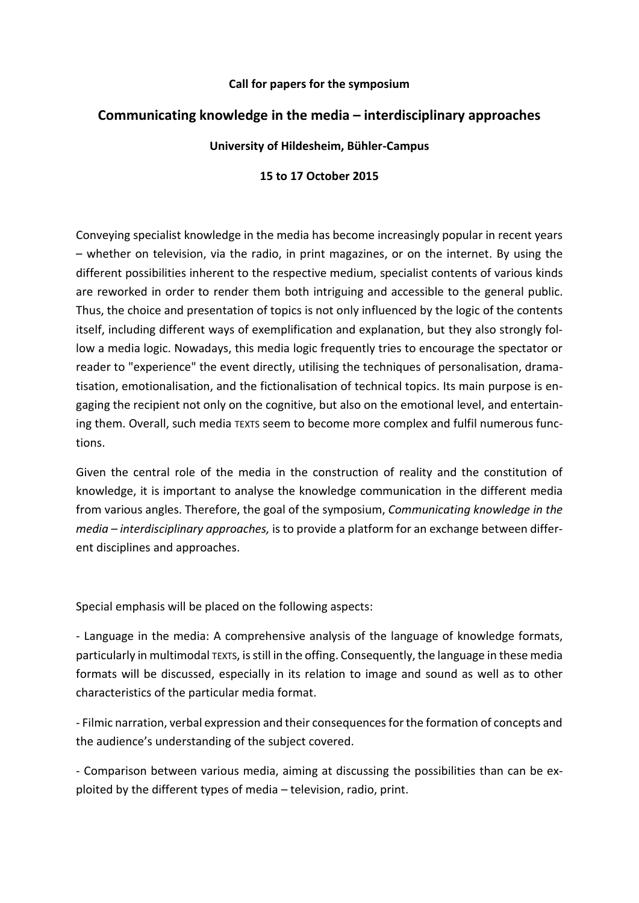#### **Call for papers for the symposium**

# **Communicating knowledge in the media – interdisciplinary approaches**

### **University of Hildesheim, Bühler-Campus**

## **15 to 17 October 2015**

Conveying specialist knowledge in the media has become increasingly popular in recent years – whether on television, via the radio, in print magazines, or on the internet. By using the different possibilities inherent to the respective medium, specialist contents of various kinds are reworked in order to render them both intriguing and accessible to the general public. Thus, the choice and presentation of topics is not only influenced by the logic of the contents itself, including different ways of exemplification and explanation, but they also strongly follow a media logic. Nowadays, this media logic frequently tries to encourage the spectator or reader to "experience" the event directly, utilising the techniques of personalisation, dramatisation, emotionalisation, and the fictionalisation of technical topics. Its main purpose is engaging the recipient not only on the cognitive, but also on the emotional level, and entertaining them. Overall, such media TEXTS seem to become more complex and fulfil numerous functions.

Given the central role of the media in the construction of reality and the constitution of knowledge, it is important to analyse the knowledge communication in the different media from various angles. Therefore, the goal of the symposium, *Communicating knowledge in the media – interdisciplinary approaches,* is to provide a platform for an exchange between different disciplines and approaches.

Special emphasis will be placed on the following aspects:

- Language in the media: A comprehensive analysis of the language of knowledge formats, particularly in multimodal TEXTS, is still in the offing. Consequently, the language in these media formats will be discussed, especially in its relation to image and sound as well as to other characteristics of the particular media format.

- Filmic narration, verbal expression and their consequences for the formation of concepts and the audience's understanding of the subject covered.

- Comparison between various media, aiming at discussing the possibilities than can be exploited by the different types of media – television, radio, print.